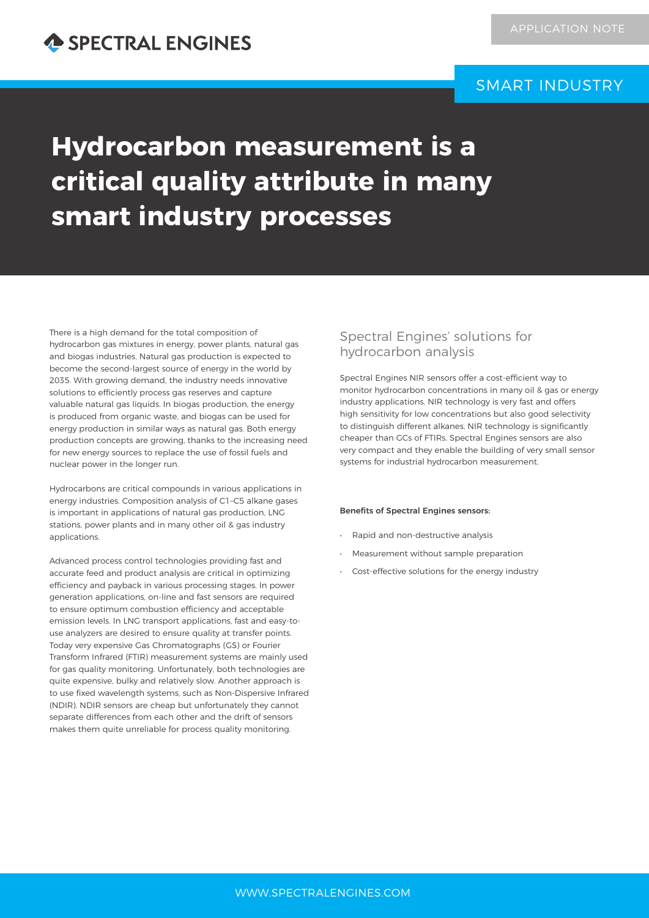## SMART INDUSTRY

# **Hydrocarbon measurement is a critical quality attribute in many smart industry processes**

There is a high demand for the total composition of hydrocarbon gas mixtures in energy, power plants, natural gas and biogas industries. Natural gas production is expected to become the second-largest source of energy in the world by 2035. With growing demand, the industry needs innovative solutions to efficiently process gas reserves and capture valuable natural gas liquids. In biogas production, the energy is produced from organic waste, and biogas can be used for energy production in similar ways as natural gas. Both energy production concepts are growing, thanks to the increasing need for new energy sources to replace the use of fossil fuels and nuclear power in the longer run.

Hydrocarbons are critical compounds in various applications in energy industries. Composition analysis of C1–C5 alkane gases is important in applications of natural gas production, LNG stations, power plants and in many other oil & gas industry applications.

Advanced process control technologies providing fast and accurate feed and product analysis are critical in optimizing efficiency and payback in various processing stages. In power generation applications, on-line and fast sensors are required to ensure optimum combustion efficiency and acceptable emission levels. In LNG transport applications, fast and easy-touse analyzers are desired to ensure quality at transfer points. Today very expensive Gas Chromatographs (GS) or Fourier Transform Infrared (FTIR) measurement systems are mainly used for gas quality monitoring. Unfortunately, both technologies are quite expensive, bulky and relatively slow. Another approach is to use fixed wavelength systems, such as Non-Dispersive Infrared (NDIR). NDIR sensors are cheap but unfortunately they cannot separate differences from each other and the drift of sensors makes them quite unreliable for process quality monitoring.

### Spectral Engines' solutions for hydrocarbon analysis

Spectral Engines NIR sensors offer a cost-efficient way to monitor hydrocarbon concentrations in many oil & gas or energy industry applications. NIR technology is very fast and offers high sensitivity for low concentrations but also good selectivity to distinguish different alkanes. NIR technology is significantly cheaper than GCs of FTIRs. Spectral Engines sensors are also very compact and they enable the building of very small sensor systems for industrial hydrocarbon measurement.

#### Benefits of Spectral Engines sensors:

- Rapid and non-destructive analysis
- Measurement without sample preparation
- Cost-effective solutions for the energy industry